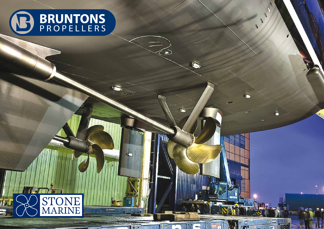

2

**Tij** 

75 D

e.

**Total** 

**SCORE** 

ò.

**forens** 

**ALL** 

≕

Ē

**LAB** 

G